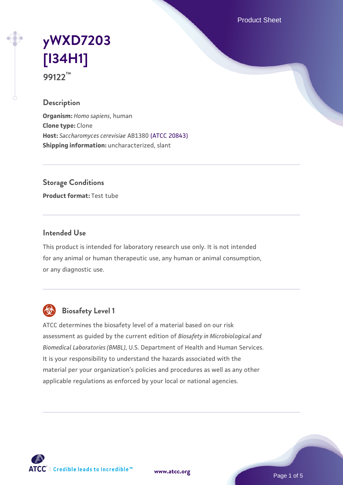Product Sheet

# **[yWXD7203](https://www.atcc.org/products/99122) [\[I34H1\]](https://www.atcc.org/products/99122) 99122™**

## **Description**

**Organism:** *Homo sapiens*, human **Clone type:** Clone **Host:** *Saccharomyces cerevisiae* AB1380 [\(ATCC 20843\)](https://www.atcc.org/products/20843) **Shipping information:** uncharacterized, slant

**Storage Conditions**

**Product format:** Test tube

## **Intended Use**

This product is intended for laboratory research use only. It is not intended for any animal or human therapeutic use, any human or animal consumption, or any diagnostic use.



# **Biosafety Level 1**

ATCC determines the biosafety level of a material based on our risk assessment as guided by the current edition of *Biosafety in Microbiological and Biomedical Laboratories (BMBL)*, U.S. Department of Health and Human Services. It is your responsibility to understand the hazards associated with the material per your organization's policies and procedures as well as any other applicable regulations as enforced by your local or national agencies.

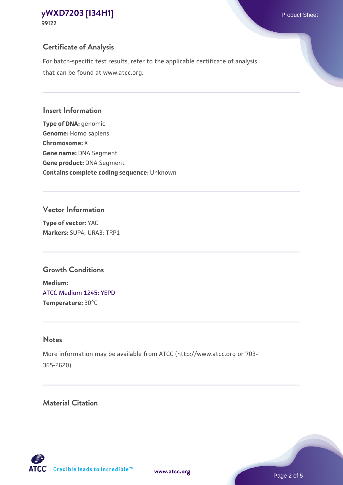# **Certificate of Analysis**

For batch-specific test results, refer to the applicable certificate of analysis that can be found at www.atcc.org.

## **Insert Information**

**Type of DNA:** genomic **Genome:** Homo sapiens **Chromosome:** X **Gene name:** DNA Segment **Gene product:** DNA Segment **Contains complete coding sequence:** Unknown

# **Vector Information**

**Type of vector:** YAC **Markers:** SUP4; URA3; TRP1

# **Growth Conditions**

**Medium:**  [ATCC Medium 1245: YEPD](https://www.atcc.org/-/media/product-assets/documents/microbial-media-formulations/1/2/4/5/atcc-medium-1245.pdf?rev=705ca55d1b6f490a808a965d5c072196) **Temperature:** 30°C

# **Notes**

More information may be available from ATCC (http://www.atcc.org or 703- 365-2620).

# **Material Citation**

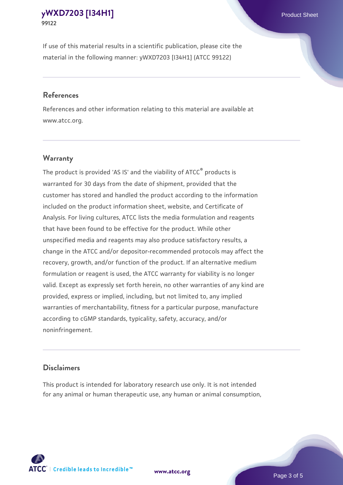If use of this material results in a scientific publication, please cite the material in the following manner: yWXD7203 [I34H1] (ATCC 99122)

#### **References**

References and other information relating to this material are available at www.atcc.org.

## **Warranty**

The product is provided 'AS IS' and the viability of  $ATCC<sup>®</sup>$  products is warranted for 30 days from the date of shipment, provided that the customer has stored and handled the product according to the information included on the product information sheet, website, and Certificate of Analysis. For living cultures, ATCC lists the media formulation and reagents that have been found to be effective for the product. While other unspecified media and reagents may also produce satisfactory results, a change in the ATCC and/or depositor-recommended protocols may affect the recovery, growth, and/or function of the product. If an alternative medium formulation or reagent is used, the ATCC warranty for viability is no longer valid. Except as expressly set forth herein, no other warranties of any kind are provided, express or implied, including, but not limited to, any implied warranties of merchantability, fitness for a particular purpose, manufacture according to cGMP standards, typicality, safety, accuracy, and/or noninfringement.

#### **Disclaimers**

This product is intended for laboratory research use only. It is not intended for any animal or human therapeutic use, any human or animal consumption,

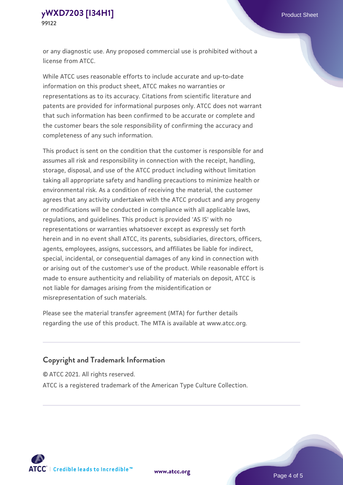or any diagnostic use. Any proposed commercial use is prohibited without a license from ATCC.

While ATCC uses reasonable efforts to include accurate and up-to-date information on this product sheet, ATCC makes no warranties or representations as to its accuracy. Citations from scientific literature and patents are provided for informational purposes only. ATCC does not warrant that such information has been confirmed to be accurate or complete and the customer bears the sole responsibility of confirming the accuracy and completeness of any such information.

This product is sent on the condition that the customer is responsible for and assumes all risk and responsibility in connection with the receipt, handling, storage, disposal, and use of the ATCC product including without limitation taking all appropriate safety and handling precautions to minimize health or environmental risk. As a condition of receiving the material, the customer agrees that any activity undertaken with the ATCC product and any progeny or modifications will be conducted in compliance with all applicable laws, regulations, and guidelines. This product is provided 'AS IS' with no representations or warranties whatsoever except as expressly set forth herein and in no event shall ATCC, its parents, subsidiaries, directors, officers, agents, employees, assigns, successors, and affiliates be liable for indirect, special, incidental, or consequential damages of any kind in connection with or arising out of the customer's use of the product. While reasonable effort is made to ensure authenticity and reliability of materials on deposit, ATCC is not liable for damages arising from the misidentification or misrepresentation of such materials.

Please see the material transfer agreement (MTA) for further details regarding the use of this product. The MTA is available at www.atcc.org.

## **Copyright and Trademark Information**

© ATCC 2021. All rights reserved.

ATCC is a registered trademark of the American Type Culture Collection.



**[www.atcc.org](http://www.atcc.org)**